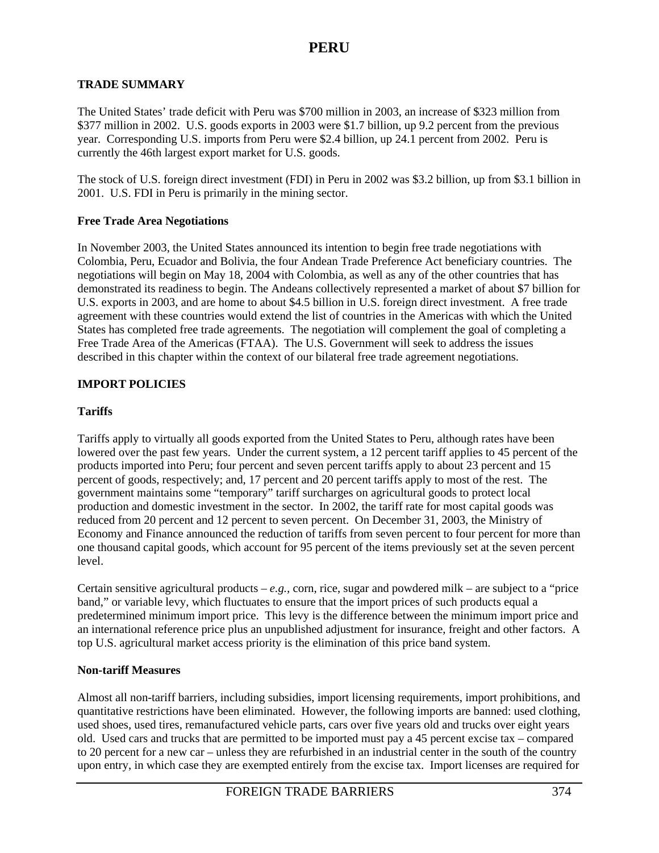### **TRADE SUMMARY**

The United States' trade deficit with Peru was \$700 million in 2003, an increase of \$323 million from \$377 million in 2002. U.S. goods exports in 2003 were \$1.7 billion, up 9.2 percent from the previous year. Corresponding U.S. imports from Peru were \$2.4 billion, up 24.1 percent from 2002. Peru is currently the 46th largest export market for U.S. goods.

The stock of U.S. foreign direct investment (FDI) in Peru in 2002 was \$3.2 billion, up from \$3.1 billion in 2001. U.S. FDI in Peru is primarily in the mining sector.

### **Free Trade Area Negotiations**

In November 2003, the United States announced its intention to begin free trade negotiations with Colombia, Peru, Ecuador and Bolivia, the four Andean Trade Preference Act beneficiary countries. The negotiations will begin on May 18, 2004 with Colombia, as well as any of the other countries that has demonstrated its readiness to begin. The Andeans collectively represented a market of about \$7 billion for U.S. exports in 2003, and are home to about \$4.5 billion in U.S. foreign direct investment. A free trade agreement with these countries would extend the list of countries in the Americas with which the United States has completed free trade agreements. The negotiation will complement the goal of completing a Free Trade Area of the Americas (FTAA). The U.S. Government will seek to address the issues described in this chapter within the context of our bilateral free trade agreement negotiations.

### **IMPORT POLICIES**

### **Tariffs**

Tariffs apply to virtually all goods exported from the United States to Peru, although rates have been lowered over the past few years. Under the current system, a 12 percent tariff applies to 45 percent of the products imported into Peru; four percent and seven percent tariffs apply to about 23 percent and 15 percent of goods, respectively; and, 17 percent and 20 percent tariffs apply to most of the rest. The government maintains some "temporary" tariff surcharges on agricultural goods to protect local production and domestic investment in the sector. In 2002, the tariff rate for most capital goods was reduced from 20 percent and 12 percent to seven percent. On December 31, 2003, the Ministry of Economy and Finance announced the reduction of tariffs from seven percent to four percent for more than one thousand capital goods, which account for 95 percent of the items previously set at the seven percent level.

Certain sensitive agricultural products – *e.g.,* corn, rice, sugar and powdered milk – are subject to a "price band," or variable levy, which fluctuates to ensure that the import prices of such products equal a predetermined minimum import price. This levy is the difference between the minimum import price and an international reference price plus an unpublished adjustment for insurance, freight and other factors. A top U.S. agricultural market access priority is the elimination of this price band system.

### **Non-tariff Measures**

Almost all non-tariff barriers, including subsidies, import licensing requirements, import prohibitions, and quantitative restrictions have been eliminated. However, the following imports are banned: used clothing, used shoes, used tires, remanufactured vehicle parts, cars over five years old and trucks over eight years old. Used cars and trucks that are permitted to be imported must pay a 45 percent excise tax – compared to 20 percent for a new car – unless they are refurbished in an industrial center in the south of the country upon entry, in which case they are exempted entirely from the excise tax. Import licenses are required for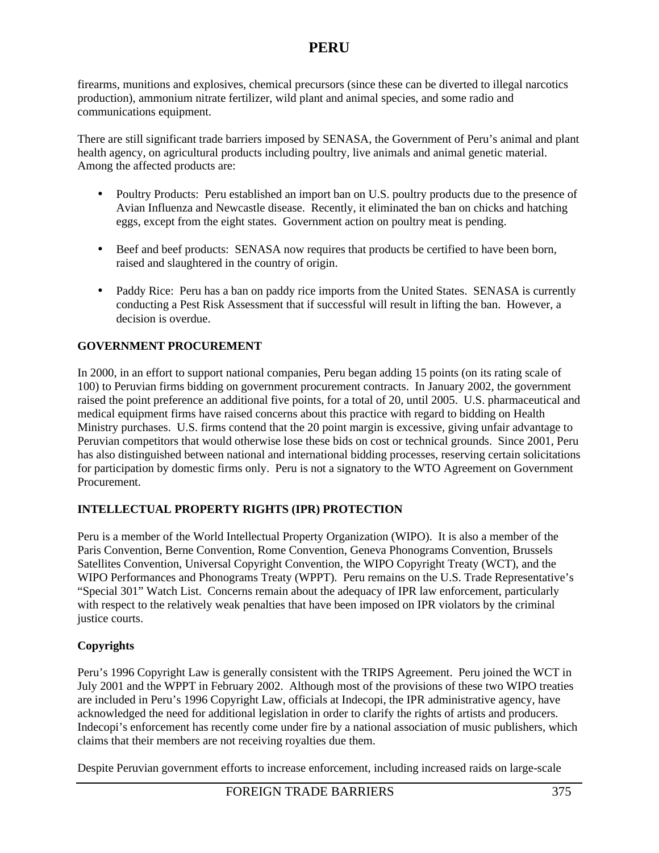# **PERU**

firearms, munitions and explosives, chemical precursors (since these can be diverted to illegal narcotics production), ammonium nitrate fertilizer, wild plant and animal species, and some radio and communications equipment.

There are still significant trade barriers imposed by SENASA, the Government of Peru's animal and plant health agency, on agricultural products including poultry, live animals and animal genetic material. Among the affected products are:

- Poultry Products: Peru established an import ban on U.S. poultry products due to the presence of Avian Influenza and Newcastle disease. Recently, it eliminated the ban on chicks and hatching eggs, except from the eight states. Government action on poultry meat is pending.
- Beef and beef products: SENASA now requires that products be certified to have been born, raised and slaughtered in the country of origin.
- Paddy Rice: Peru has a ban on paddy rice imports from the United States. SENASA is currently conducting a Pest Risk Assessment that if successful will result in lifting the ban. However, a decision is overdue.

### **GOVERNMENT PROCUREMENT**

In 2000, in an effort to support national companies, Peru began adding 15 points (on its rating scale of 100) to Peruvian firms bidding on government procurement contracts. In January 2002, the government raised the point preference an additional five points, for a total of 20, until 2005. U.S. pharmaceutical and medical equipment firms have raised concerns about this practice with regard to bidding on Health Ministry purchases. U.S. firms contend that the 20 point margin is excessive, giving unfair advantage to Peruvian competitors that would otherwise lose these bids on cost or technical grounds. Since 2001, Peru has also distinguished between national and international bidding processes, reserving certain solicitations for participation by domestic firms only. Peru is not a signatory to the WTO Agreement on Government Procurement.

## **INTELLECTUAL PROPERTY RIGHTS (IPR) PROTECTION**

Peru is a member of the World Intellectual Property Organization (WIPO). It is also a member of the Paris Convention, Berne Convention, Rome Convention, Geneva Phonograms Convention, Brussels Satellites Convention, Universal Copyright Convention, the WIPO Copyright Treaty (WCT), and the WIPO Performances and Phonograms Treaty (WPPT). Peru remains on the U.S. Trade Representative's "Special 301" Watch List. Concerns remain about the adequacy of IPR law enforcement, particularly with respect to the relatively weak penalties that have been imposed on IPR violators by the criminal justice courts.

### **Copyrights**

Peru's 1996 Copyright Law is generally consistent with the TRIPS Agreement. Peru joined the WCT in July 2001 and the WPPT in February 2002. Although most of the provisions of these two WIPO treaties are included in Peru's 1996 Copyright Law, officials at Indecopi, the IPR administrative agency, have acknowledged the need for additional legislation in order to clarify the rights of artists and producers. Indecopi's enforcement has recently come under fire by a national association of music publishers, which claims that their members are not receiving royalties due them.

Despite Peruvian government efforts to increase enforcement, including increased raids on large-scale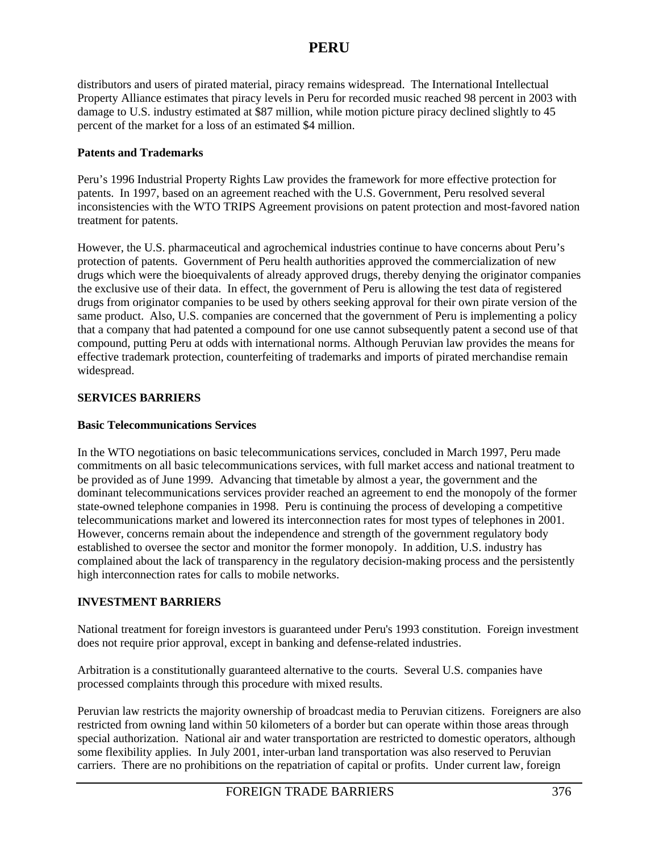# **PERU**

distributors and users of pirated material, piracy remains widespread. The International Intellectual Property Alliance estimates that piracy levels in Peru for recorded music reached 98 percent in 2003 with damage to U.S. industry estimated at \$87 million, while motion picture piracy declined slightly to 45 percent of the market for a loss of an estimated \$4 million.

#### **Patents and Trademarks**

Peru's 1996 Industrial Property Rights Law provides the framework for more effective protection for patents. In 1997, based on an agreement reached with the U.S. Government, Peru resolved several inconsistencies with the WTO TRIPS Agreement provisions on patent protection and most-favored nation treatment for patents.

However, the U.S. pharmaceutical and agrochemical industries continue to have concerns about Peru's protection of patents. Government of Peru health authorities approved the commercialization of new drugs which were the bioequivalents of already approved drugs, thereby denying the originator companies the exclusive use of their data. In effect, the government of Peru is allowing the test data of registered drugs from originator companies to be used by others seeking approval for their own pirate version of the same product. Also, U.S. companies are concerned that the government of Peru is implementing a policy that a company that had patented a compound for one use cannot subsequently patent a second use of that compound, putting Peru at odds with international norms. Although Peruvian law provides the means for effective trademark protection, counterfeiting of trademarks and imports of pirated merchandise remain widespread.

### **SERVICES BARRIERS**

#### **Basic Telecommunications Services**

In the WTO negotiations on basic telecommunications services, concluded in March 1997, Peru made commitments on all basic telecommunications services, with full market access and national treatment to be provided as of June 1999. Advancing that timetable by almost a year, the government and the dominant telecommunications services provider reached an agreement to end the monopoly of the former state-owned telephone companies in 1998. Peru is continuing the process of developing a competitive telecommunications market and lowered its interconnection rates for most types of telephones in 2001. However, concerns remain about the independence and strength of the government regulatory body established to oversee the sector and monitor the former monopoly. In addition, U.S. industry has complained about the lack of transparency in the regulatory decision-making process and the persistently high interconnection rates for calls to mobile networks.

### **INVESTMENT BARRIERS**

National treatment for foreign investors is guaranteed under Peru's 1993 constitution. Foreign investment does not require prior approval, except in banking and defense-related industries.

Arbitration is a constitutionally guaranteed alternative to the courts. Several U.S. companies have processed complaints through this procedure with mixed results.

Peruvian law restricts the majority ownership of broadcast media to Peruvian citizens. Foreigners are also restricted from owning land within 50 kilometers of a border but can operate within those areas through special authorization. National air and water transportation are restricted to domestic operators, although some flexibility applies. In July 2001, inter-urban land transportation was also reserved to Peruvian carriers. There are no prohibitions on the repatriation of capital or profits. Under current law, foreign